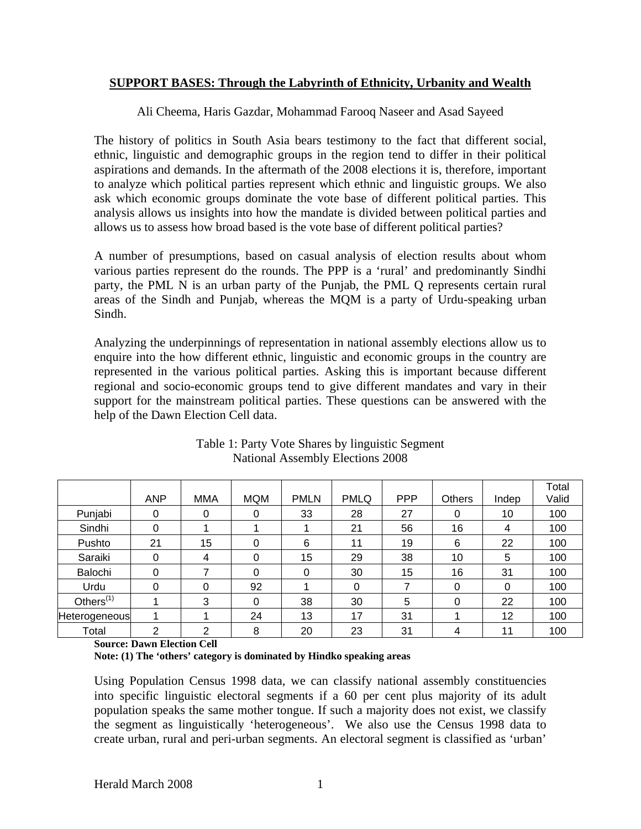## **SUPPORT BASES: Through the Labyrinth of Ethnicity, Urbanity and Wealth**

Ali Cheema, Haris Gazdar, Mohammad Farooq Naseer and Asad Sayeed

The history of politics in South Asia bears testimony to the fact that different social, ethnic, linguistic and demographic groups in the region tend to differ in their political aspirations and demands. In the aftermath of the 2008 elections it is, therefore, important to analyze which political parties represent which ethnic and linguistic groups. We also ask which economic groups dominate the vote base of different political parties. This analysis allows us insights into how the mandate is divided between political parties and allows us to assess how broad based is the vote base of different political parties?

A number of presumptions, based on casual analysis of election results about whom various parties represent do the rounds. The PPP is a 'rural' and predominantly Sindhi party, the PML N is an urban party of the Punjab, the PML Q represents certain rural areas of the Sindh and Punjab, whereas the MQM is a party of Urdu-speaking urban Sindh.

Analyzing the underpinnings of representation in national assembly elections allow us to enquire into the how different ethnic, linguistic and economic groups in the country are represented in the various political parties. Asking this is important because different regional and socio-economic groups tend to give different mandates and vary in their support for the mainstream political parties. These questions can be answered with the help of the Dawn Election Cell data.

|               | <b>ANP</b> | <b>MMA</b> | <b>MQM</b> | <b>PMLN</b> | <b>PMLQ</b> | <b>PPP</b> | <b>Others</b> | Indep | Total<br>Valid |
|---------------|------------|------------|------------|-------------|-------------|------------|---------------|-------|----------------|
| Punjabi       | 0          | 0          | 0          | 33          | 28          | 27         | 0             | 10    | 100            |
| Sindhi        | 0          |            |            |             | 21          | 56         | 16            | 4     | 100            |
| Pushto        | 21         | 15         | 0          | 6           | 11          | 19         | 6             | 22    | 100            |
| Saraiki       | 0          | 4          | 0          | 15          | 29          | 38         | 10            | 5     | 100            |
| Balochi       | 0          | ⇁          | 0          | 0           | 30          | 15         | 16            | 31    | 100            |
| Urdu          | 0          | 0          | 92         |             | 0           |            | 0             | 0     | 100            |
| Others $(1)$  |            | 3          | 0          | 38          | 30          | 5          | 0             | 22    | 100            |
| Heterogeneous |            |            | 24         | 13          | 17          | 31         |               | 12    | 100            |
| Total         | 2          | っ          | 8          | 20          | 23          | 31         | 4             | 11    | 100            |

Table 1: Party Vote Shares by linguistic Segment National Assembly Elections 2008

**Source: Dawn Election Cell**

**Note: (1) The 'others' category is dominated by Hindko speaking areas** 

Using Population Census 1998 data, we can classify national assembly constituencies into specific linguistic electoral segments if a 60 per cent plus majority of its adult population speaks the same mother tongue. If such a majority does not exist, we classify the segment as linguistically 'heterogeneous'. We also use the Census 1998 data to create urban, rural and peri-urban segments. An electoral segment is classified as 'urban'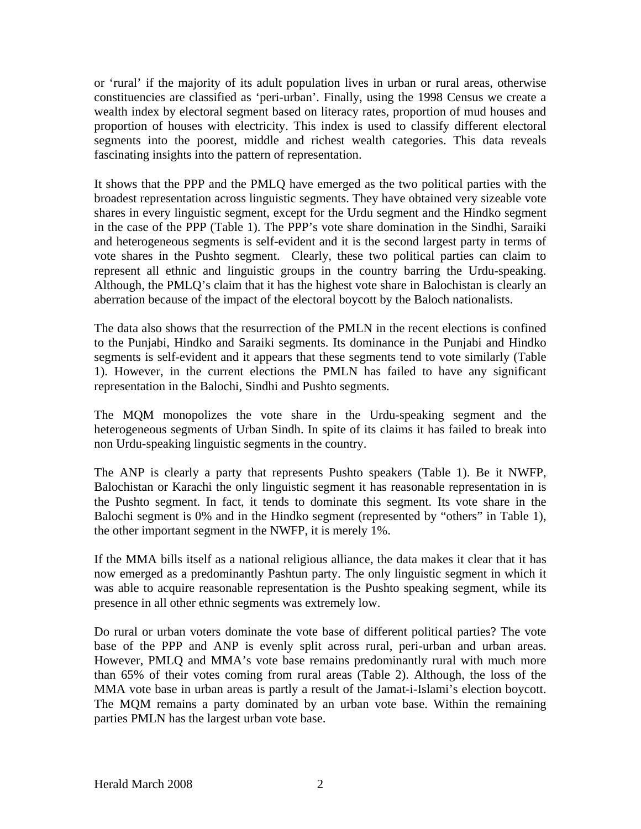or 'rural' if the majority of its adult population lives in urban or rural areas, otherwise constituencies are classified as 'peri-urban'. Finally, using the 1998 Census we create a wealth index by electoral segment based on literacy rates, proportion of mud houses and proportion of houses with electricity. This index is used to classify different electoral segments into the poorest, middle and richest wealth categories. This data reveals fascinating insights into the pattern of representation.

It shows that the PPP and the PMLQ have emerged as the two political parties with the broadest representation across linguistic segments. They have obtained very sizeable vote shares in every linguistic segment, except for the Urdu segment and the Hindko segment in the case of the PPP (Table 1). The PPP's vote share domination in the Sindhi, Saraiki and heterogeneous segments is self-evident and it is the second largest party in terms of vote shares in the Pushto segment. Clearly, these two political parties can claim to represent all ethnic and linguistic groups in the country barring the Urdu-speaking. Although, the PMLQ's claim that it has the highest vote share in Balochistan is clearly an aberration because of the impact of the electoral boycott by the Baloch nationalists.

The data also shows that the resurrection of the PMLN in the recent elections is confined to the Punjabi, Hindko and Saraiki segments. Its dominance in the Punjabi and Hindko segments is self-evident and it appears that these segments tend to vote similarly (Table 1). However, in the current elections the PMLN has failed to have any significant representation in the Balochi, Sindhi and Pushto segments.

The MQM monopolizes the vote share in the Urdu-speaking segment and the heterogeneous segments of Urban Sindh. In spite of its claims it has failed to break into non Urdu-speaking linguistic segments in the country.

The ANP is clearly a party that represents Pushto speakers (Table 1). Be it NWFP, Balochistan or Karachi the only linguistic segment it has reasonable representation in is the Pushto segment. In fact, it tends to dominate this segment. Its vote share in the Balochi segment is 0% and in the Hindko segment (represented by "others" in Table 1), the other important segment in the NWFP, it is merely 1%.

If the MMA bills itself as a national religious alliance, the data makes it clear that it has now emerged as a predominantly Pashtun party. The only linguistic segment in which it was able to acquire reasonable representation is the Pushto speaking segment, while its presence in all other ethnic segments was extremely low.

Do rural or urban voters dominate the vote base of different political parties? The vote base of the PPP and ANP is evenly split across rural, peri-urban and urban areas. However, PMLQ and MMA's vote base remains predominantly rural with much more than 65% of their votes coming from rural areas (Table 2). Although, the loss of the MMA vote base in urban areas is partly a result of the Jamat-i-Islami's election boycott. The MQM remains a party dominated by an urban vote base. Within the remaining parties PMLN has the largest urban vote base.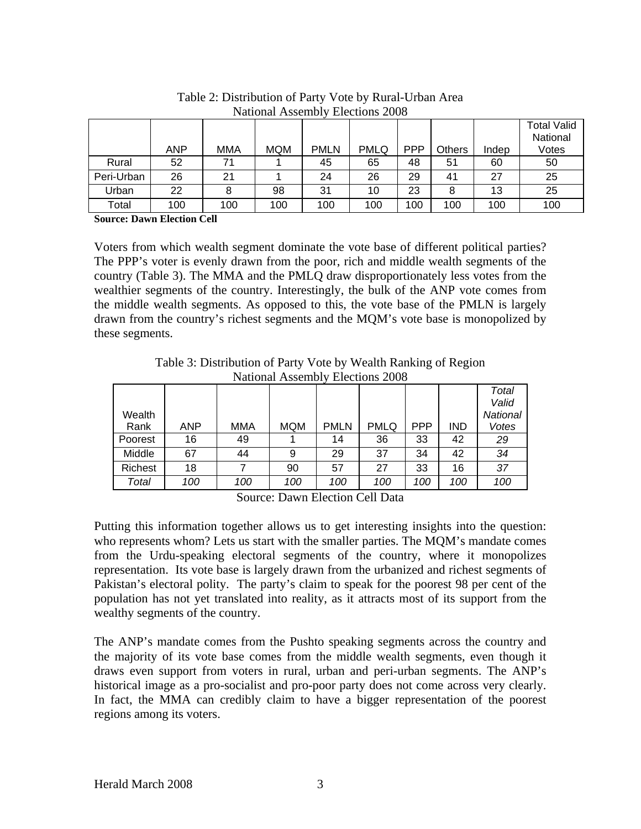| 1.00010101111110000111011 |     |     |            |             |             |            |               |       |                    |
|---------------------------|-----|-----|------------|-------------|-------------|------------|---------------|-------|--------------------|
|                           |     |     |            |             |             |            |               |       | <b>Total Valid</b> |
|                           |     |     |            |             |             |            |               |       | National           |
|                           | ANP | MMA | <b>MQM</b> | <b>PMLN</b> | <b>PMLQ</b> | <b>PPP</b> | <b>Others</b> | Indep | Votes              |
| Rural                     | 52  |     |            | 45          | 65          | 48         | 51            | 60    | 50                 |
| Peri-Urban                | 26  | 21  |            | 24          | 26          | 29         | 41            | 27    | 25                 |
| Urban                     | 22  |     | 98         | 31          | 10          | 23         |               | 13    | 25                 |
| Total                     | 100 | 100 | 100        | 100         | 100         | 100        | 100           | 100   | 100                |

Table 2: Distribution of Party Vote by Rural-Urban Area National Assembly Elections 2008

**Source: Dawn Election Cell**

Voters from which wealth segment dominate the vote base of different political parties? The PPP's voter is evenly drawn from the poor, rich and middle wealth segments of the country (Table 3). The MMA and the PMLQ draw disproportionately less votes from the wealthier segments of the country. Interestingly, the bulk of the ANP vote comes from the middle wealth segments. As opposed to this, the vote base of the PMLN is largely drawn from the country's richest segments and the MQM's vote base is monopolized by these segments.

Table 3: Distribution of Party Vote by Wealth Ranking of Region National Assembly Elections 2008  $\mathcal{L}$  $\sim 10^{11}$ 

| Wealth  |     |            |            |             |             |            |     | Total<br>Valid<br>National |
|---------|-----|------------|------------|-------------|-------------|------------|-----|----------------------------|
| Rank    | ANP | <b>MMA</b> | <b>MQM</b> | <b>PMLN</b> | <b>PMLQ</b> | <b>PPP</b> | IND | Votes                      |
| Poorest | 16  | 49         |            | 14          | 36          | 33         | 42  | 29                         |
| Middle  | 67  | 44         | 9          | 29          | 37          | 34         | 42  | 34                         |
| Richest | 18  |            | 90         | 57          | 27          | 33         | 16  | 37                         |
| Total   | 100 | 100        | 100        | 100         | 100         | 100        | 100 | 100                        |

Source: Dawn Election Cell Data

Putting this information together allows us to get interesting insights into the question: who represents whom? Lets us start with the smaller parties. The MQM's mandate comes from the Urdu-speaking electoral segments of the country, where it monopolizes representation. Its vote base is largely drawn from the urbanized and richest segments of Pakistan's electoral polity. The party's claim to speak for the poorest 98 per cent of the population has not yet translated into reality, as it attracts most of its support from the wealthy segments of the country.

The ANP's mandate comes from the Pushto speaking segments across the country and the majority of its vote base comes from the middle wealth segments, even though it draws even support from voters in rural, urban and peri-urban segments. The ANP's historical image as a pro-socialist and pro-poor party does not come across very clearly. In fact, the MMA can credibly claim to have a bigger representation of the poorest regions among its voters.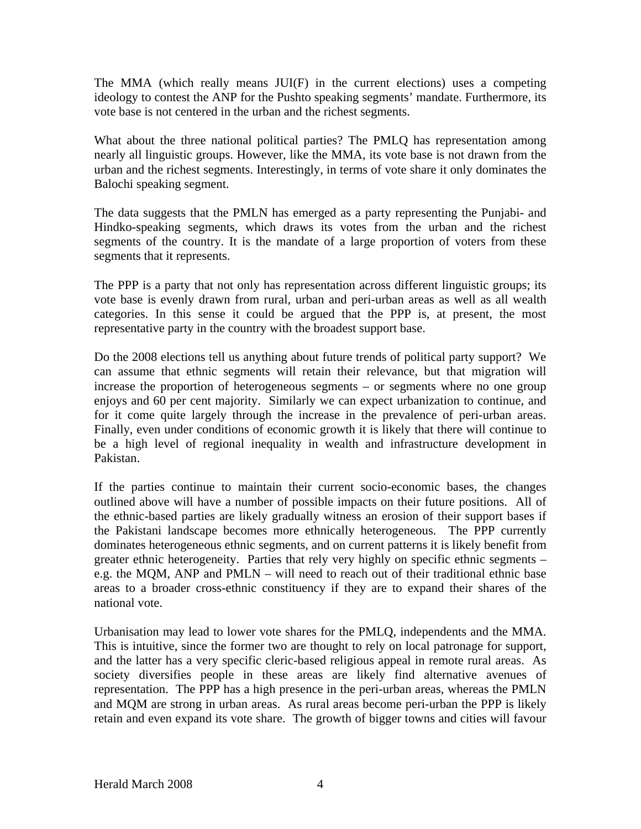The MMA (which really means JUI(F) in the current elections) uses a competing ideology to contest the ANP for the Pushto speaking segments' mandate. Furthermore, its vote base is not centered in the urban and the richest segments.

What about the three national political parties? The PMLQ has representation among nearly all linguistic groups. However, like the MMA, its vote base is not drawn from the urban and the richest segments. Interestingly, in terms of vote share it only dominates the Balochi speaking segment.

The data suggests that the PMLN has emerged as a party representing the Punjabi- and Hindko-speaking segments, which draws its votes from the urban and the richest segments of the country. It is the mandate of a large proportion of voters from these segments that it represents.

The PPP is a party that not only has representation across different linguistic groups; its vote base is evenly drawn from rural, urban and peri-urban areas as well as all wealth categories. In this sense it could be argued that the PPP is, at present, the most representative party in the country with the broadest support base.

Do the 2008 elections tell us anything about future trends of political party support? We can assume that ethnic segments will retain their relevance, but that migration will increase the proportion of heterogeneous segments – or segments where no one group enjoys and 60 per cent majority. Similarly we can expect urbanization to continue, and for it come quite largely through the increase in the prevalence of peri-urban areas. Finally, even under conditions of economic growth it is likely that there will continue to be a high level of regional inequality in wealth and infrastructure development in Pakistan.

If the parties continue to maintain their current socio-economic bases, the changes outlined above will have a number of possible impacts on their future positions. All of the ethnic-based parties are likely gradually witness an erosion of their support bases if the Pakistani landscape becomes more ethnically heterogeneous. The PPP currently dominates heterogeneous ethnic segments, and on current patterns it is likely benefit from greater ethnic heterogeneity. Parties that rely very highly on specific ethnic segments – e.g. the MQM, ANP and PMLN – will need to reach out of their traditional ethnic base areas to a broader cross-ethnic constituency if they are to expand their shares of the national vote.

Urbanisation may lead to lower vote shares for the PMLQ, independents and the MMA. This is intuitive, since the former two are thought to rely on local patronage for support, and the latter has a very specific cleric-based religious appeal in remote rural areas. As society diversifies people in these areas are likely find alternative avenues of representation. The PPP has a high presence in the peri-urban areas, whereas the PMLN and MQM are strong in urban areas. As rural areas become peri-urban the PPP is likely retain and even expand its vote share. The growth of bigger towns and cities will favour